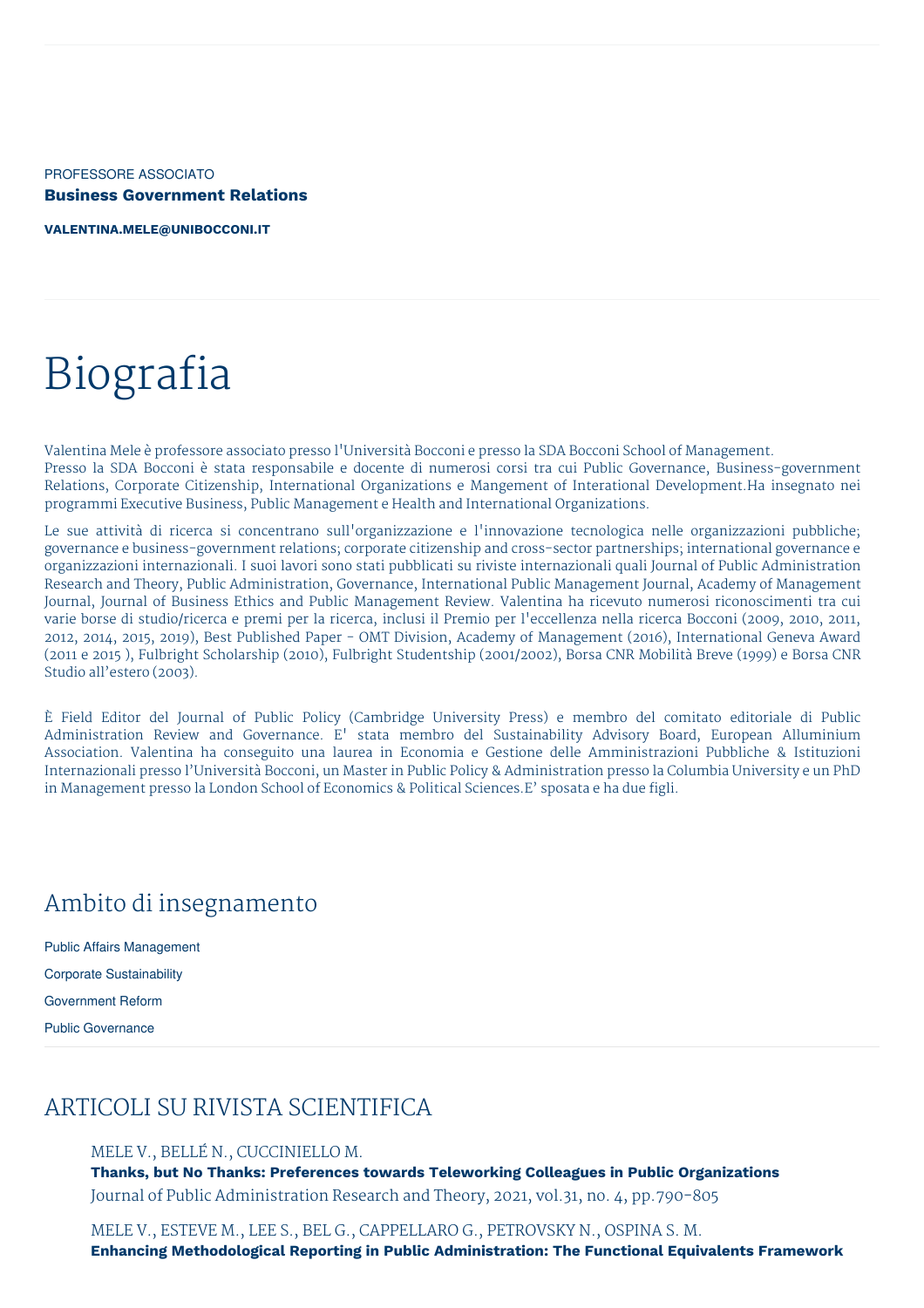PROFESSORE ASSOCIATO **Business Government Relations**

**[VALENTINA.MELE@UNIBOCCONI.IT](mailto:valentina.mele@unibocconi.it)**

# Biografia

Valentina Mele è professore associato presso l'Università Bocconi e presso la SDA Bocconi School of Management. Presso la SDA Bocconi è stata responsabile e docente di numerosi corsi tra cui Public Governance, Business-government Relations, Corporate Citizenship, International Organizations e Mangement of Interational Development.Ha insegnato nei programmi Executive Business, Public Management e Health and International Organizations.

Le sue attività di ricerca si concentrano sull'organizzazione e l'innovazione tecnologica nelle organizzazioni pubbliche; governance e business-government relations; corporate citizenship and cross-sector partnerships; international governance e organizzazioni internazionali. I suoi lavori sono stati pubblicati su riviste internazionali quali Journal of Public Administration Research and Theory, Public Administration, Governance, International Public Management Journal, Academy of Management Journal, Journal of Business Ethics and Public Management Review. Valentina ha ricevuto numerosi riconoscimenti tra cui varie borse di studio/ricerca e premi per la ricerca, inclusi il Premio per l'eccellenza nella ricerca Bocconi (2009, 2010, 2011, 2012, 2014, 2015, 2019), Best Published Paper - OMT Division, Academy of Management (2016), International Geneva Award (2011 e 2015 ), Fulbright Scholarship (2010), Fulbright Studentship (2001/2002), Borsa CNR Mobilità Breve (1999) e Borsa CNR Studio all'estero (2003).

È Field Editor del Journal of Public Policy (Cambridge University Press) e membro del comitato editoriale di Public Administration Review and Governance. E' stata membro del Sustainability Advisory Board, European Alluminium Association. Valentina ha conseguito una laurea in Economia e Gestione delle Amministrazioni Pubbliche & Istituzioni Internazionali presso l'Università Bocconi, un Master in Public Policy & Administration presso la Columbia University e un PhD in Management presso la London School of Economics & Political Sciences.E' sposata e ha due figli.

## Ambito di insegnamento

Public Affairs Management Corporate Sustainability Government Reform Public Governance

## ARTICOLI SU RIVISTA SCIENTIFICA

#### MELE V., BELLÉ N., CUCCINIELLO M.

**Thanks, but No Thanks: Preferences towards Teleworking Colleagues in Public Organizations** Journal of Public Administration Research and Theory, 2021, vol.31, no. 4, pp.790-805

MELE V., ESTEVE M., LEE S., BEL G., CAPPELLARO G., PETROVSKY N., OSPINA S. M. **Enhancing Methodological Reporting in Public Administration: The Functional Equivalents Framework**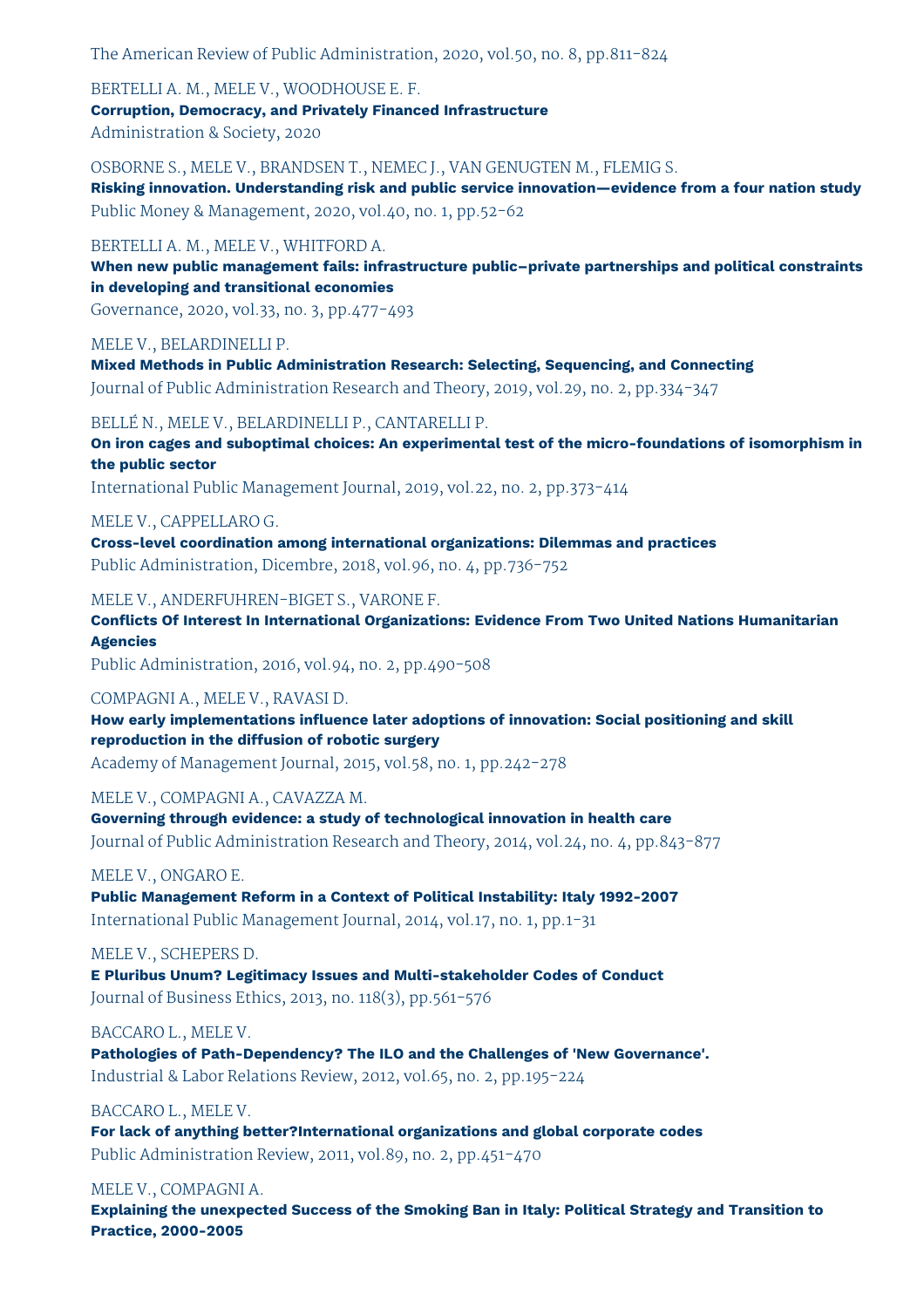The American Review of Public Administration, 2020, vol.50, no. 8, pp.811-824

BERTELLI A. M., MELE V., WOODHOUSE E. F. **Corruption, Democracy, and Privately Financed Infrastructure** Administration & Society, 2020

OSBORNE S., MELE V., BRANDSEN T., NEMEC J., VAN GENUGTEN M., FLEMIG S. **Risking innovation. Understanding risk and public service innovation—evidence from a four nation study** Public Money & Management, 2020, vol.40, no. 1, pp.52-62

BERTELLI A. M., MELE V., WHITFORD A.

**When new public management fails: infrastructure public–private partnerships and political constraints in developing and transitional economies**

Governance, 2020, vol.33, no. 3, pp.477-493

MELE V., BELARDINELLI P.

**Mixed Methods in Public Administration Research: Selecting, Sequencing, and Connecting** Journal of Public Administration Research and Theory, 2019, vol.29, no. 2, pp.334-347

BELLÉ N., MELE V., BELARDINELLI P., CANTARELLI P.

**On iron cages and suboptimal choices: An experimental test of the micro-foundations of isomorphism in the public sector**

International Public Management Journal, 2019, vol.22, no. 2, pp.373-414

MELE V., CAPPELLARO G. **Cross-level coordination among international organizations: Dilemmas and practices** Public Administration, Dicembre, 2018, vol.96, no. 4, pp.736-752

MELE V., ANDERFUHREN-BIGET S., VARONE F.

**Conflicts Of Interest In International Organizations: Evidence From Two United Nations Humanitarian Agencies**

Public Administration, 2016, vol.94, no. 2, pp.490-508

COMPAGNI A., MELE V., RAVASI D.

**How early implementations influence later adoptions of innovation: Social positioning and skill reproduction in the diffusion of robotic surgery**

Academy of Management Journal, 2015, vol.58, no. 1, pp.242-278

MELE V., COMPAGNI A., CAVAZZA M.

**Governing through evidence: a study of technological innovation in health care** Journal of Public Administration Research and Theory, 2014, vol.24, no. 4, pp.843-877

MELE V., ONGARO E.

**Public Management Reform in a Context of Political Instability: Italy 1992-2007** International Public Management Journal, 2014, vol.17, no. 1, pp.1-31

MELE V., SCHEPERS D.

**E Pluribus Unum? Legitimacy Issues and Multi-stakeholder Codes of Conduct** Journal of Business Ethics, 2013, no. 118(3), pp.561-576

BACCARO L., MELE V.

**Pathologies of Path-Dependency? The ILO and the Challenges of 'New Governance'.** Industrial & Labor Relations Review, 2012, vol.65, no. 2, pp.195-224

BACCARO L., MELE V.

**For lack of anything better?International organizations and global corporate codes** Public Administration Review, 2011, vol.89, no. 2, pp.451-470

MELE V., COMPAGNI A.

**Explaining the unexpected Success of the Smoking Ban in Italy: Political Strategy and Transition to Practice, 2000-2005**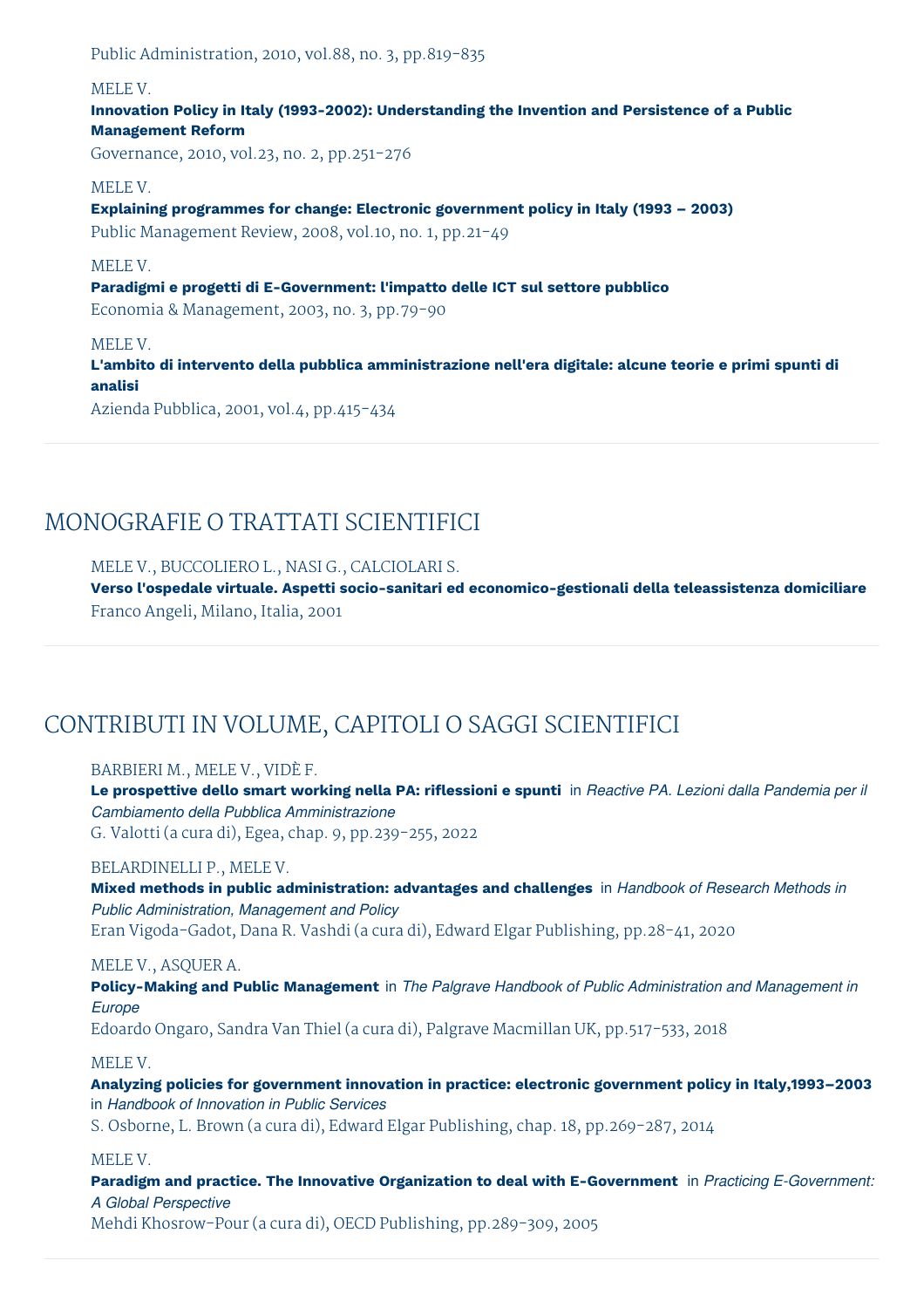Public Administration, 2010, vol.88, no. 3, pp.819-835

#### MELE V.

**Innovation Policy in Italy (1993-2002): Understanding the Invention and Persistence of a Public Management Reform**

Governance, 2010, vol.23, no. 2, pp.251-276

#### MELE V.

**Explaining programmes for change: Electronic government policy in Italy (1993 – 2003)** Public Management Review, 2008, vol.10, no. 1, pp.21-49

#### MELE V.

**Paradigmi e progetti di E-Government: l'impatto delle ICT sul settore pubblico**

Economia & Management, 2003, no. 3, pp.79-90

#### MELE V.

**L'ambito di intervento della pubblica amministrazione nell'era digitale: alcune teorie e primi spunti di analisi**

Azienda Pubblica, 2001, vol.4, pp.415-434

## MONOGRAFIE O TRATTATI SCIENTIFICI

#### MELE V., BUCCOLIERO L., NASI G., CALCIOLARI S.

**Verso l'ospedale virtuale. Aspetti socio-sanitari ed economico-gestionali della teleassistenza domiciliare** Franco Angeli, Milano, Italia, 2001

# CONTRIBUTI IN VOLUME, CAPITOLI O SAGGI SCIENTIFICI

#### BARBIERI M., MELE V., VIDÈ F.

Le prospettive dello smart working nella PA: riflessioni e spunti in Reactive PA. Lezioni dalla Pandemia per il *Cambiamento della Pubblica Amministrazione* G. Valotti (a cura di), Egea, chap. 9, pp.239-255, 2022

#### BELARDINELLI P., MELE V.

**Mixed methods in public administration: advantages and challenges** in *Handbook of Research Methods in Public Administration, Management and Policy* Eran Vigoda-Gadot, Dana R. Vashdi (a cura di), Edward Elgar Publishing, pp.28-41, 2020

#### MELE V., ASQUER A.

**Policy-Making and Public Management** in *The Palgrave Handbook of Public Administration and Management in Europe* Edoardo Ongaro, Sandra Van Thiel (a cura di), Palgrave Macmillan UK, pp.517-533, 2018

#### MELE V.

**Analyzing policies for government innovation in practice: electronic government policy in Italy,1993–2003** in *Handbook of Innovation in Public Services*

S. Osborne, L. Brown (a cura di), Edward Elgar Publishing, chap. 18, pp.269-287, 2014

#### MELE V.

**Paradigm and practice. The Innovative Organization to deal with E-Government** in *Practicing E-Government: A Global Perspective*

Mehdi Khosrow-Pour (a cura di), OECD Publishing, pp.289-309, 2005